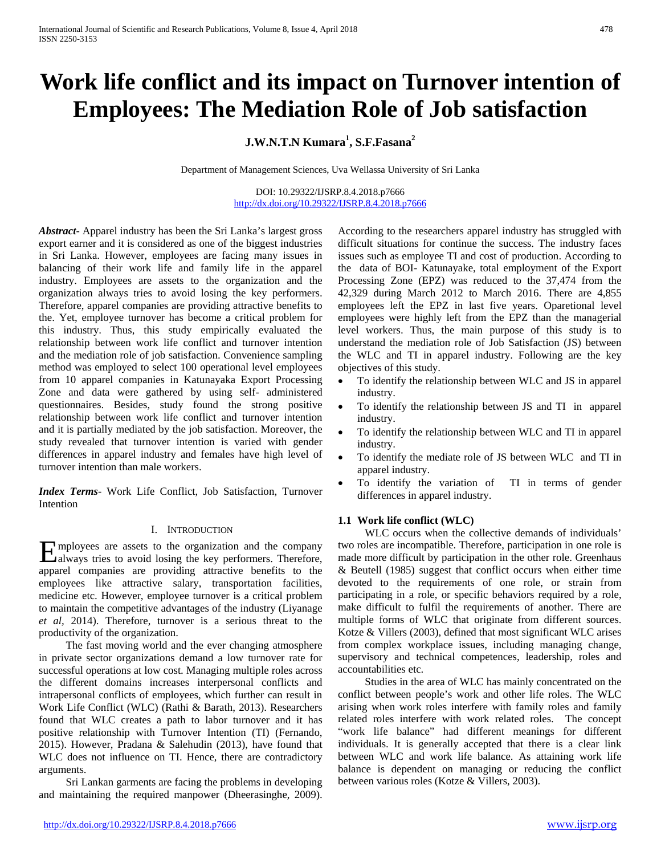# **Work life conflict and its impact on Turnover intention of Employees: The Mediation Role of Job satisfaction**

## **J.W.N.T.N Kumara<sup>1</sup> , S.F.Fasana2**

Department of Management Sciences, Uva Wellassa University of Sri Lanka

DOI: 10.29322/IJSRP.8.4.2018.p7666 <http://dx.doi.org/10.29322/IJSRP.8.4.2018.p7666>

*Abstract***-** Apparel industry has been the Sri Lanka's largest gross export earner and it is considered as one of the biggest industries in Sri Lanka. However, employees are facing many issues in balancing of their work life and family life in the apparel industry. Employees are assets to the organization and the organization always tries to avoid losing the key performers. Therefore, apparel companies are providing attractive benefits to the. Yet, employee turnover has become a critical problem for this industry. Thus, this study empirically evaluated the relationship between work life conflict and turnover intention and the mediation role of job satisfaction. Convenience sampling method was employed to select 100 operational level employees from 10 apparel companies in Katunayaka Export Processing Zone and data were gathered by using self- administered questionnaires. Besides, study found the strong positive relationship between work life conflict and turnover intention and it is partially mediated by the job satisfaction. Moreover, the study revealed that turnover intention is varied with gender differences in apparel industry and females have high level of turnover intention than male workers.

*Index Terms*- Work Life Conflict, Job Satisfaction, Turnover Intention

## I. INTRODUCTION

mployees are assets to the organization and the company Employees are assets to the organization and the company always tries to avoid losing the key performers. Therefore, apparel companies are providing attractive benefits to the employees like attractive salary, transportation facilities, medicine etc. However, employee turnover is a critical problem to maintain the competitive advantages of the industry (Liyanage *et al,* 2014). Therefore, turnover is a serious threat to the productivity of the organization.

 The fast moving world and the ever changing atmosphere in private sector organizations demand a low turnover rate for successful operations at low cost. Managing multiple roles across the different domains increases interpersonal conflicts and intrapersonal conflicts of employees, which further can result in Work Life Conflict (WLC) (Rathi & Barath, 2013). Researchers found that WLC creates a path to labor turnover and it has positive relationship with Turnover Intention (TI) (Fernando, 2015). However, Pradana & Salehudin (2013), have found that WLC does not influence on TI. Hence, there are contradictory arguments.

 Sri Lankan garments are facing the problems in developing and maintaining the required manpower (Dheerasinghe, 2009). According to the researchers apparel industry has struggled with difficult situations for continue the success. The industry faces issues such as employee TI and cost of production. According to the data of BOI- Katunayake, total employment of the Export Processing Zone (EPZ) was reduced to the 37,474 from the 42,329 during March 2012 to March 2016. There are 4,855 employees left the EPZ in last five years. Oparetional level employees were highly left from the EPZ than the managerial level workers. Thus, the main purpose of this study is to understand the mediation role of Job Satisfaction (JS) between the WLC and TI in apparel industry. Following are the key objectives of this study.

- To identify the relationship between WLC and JS in apparel industry.
- To identify the relationship between JS and TI in apparel industry.
- To identify the relationship between WLC and TI in apparel industry.
- To identify the mediate role of JS between WLC and TI in apparel industry.
- To identify the variation of TI in terms of gender differences in apparel industry.

## **1.1 Work life conflict (WLC)**

 WLC occurs when the collective demands of individuals' two roles are incompatible. Therefore, participation in one role is made more difficult by participation in the other role. Greenhaus & Beutell (1985) suggest that conflict occurs when either time devoted to the requirements of one role, or strain from participating in a role, or specific behaviors required by a role, make difficult to fulfil the requirements of another. There are multiple forms of WLC that originate from different sources. Kotze & Villers (2003), defined that most significant WLC arises from complex workplace issues, including managing change, supervisory and technical competences, leadership, roles and accountabilities etc.

 Studies in the area of WLC has mainly concentrated on the conflict between people's work and other life roles. The WLC arising when work roles interfere with family roles and family related roles interfere with work related roles. The concept "work life balance" had different meanings for different individuals. It is generally accepted that there is a clear link between WLC and work life balance. As attaining work life balance is dependent on managing or reducing the conflict between various roles (Kotze & Villers, 2003).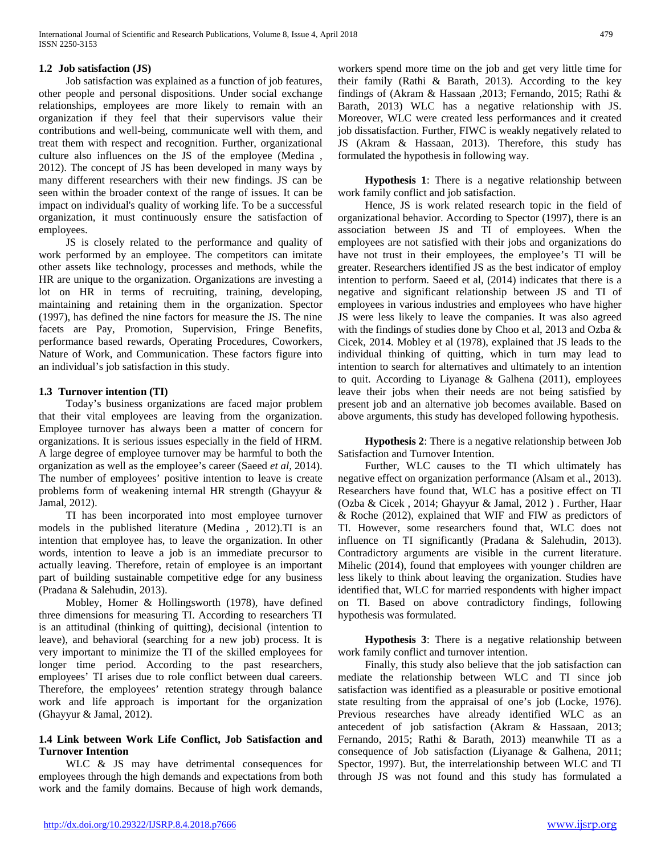## **1.2 Job satisfaction (JS)**

 Job satisfaction was explained as a function of job features, other people and personal dispositions. Under social exchange relationships, employees are more likely to remain with an organization if they feel that their supervisors value their contributions and well-being, communicate well with them, and treat them with respect and recognition. Further, organizational culture also influences on the JS of the employee (Medina , 2012). The concept of JS has been developed in many ways by many different researchers with their new findings. JS can be seen within the broader context of the range of issues. It can be impact on individual's quality of working life. To be a successful organization, it must continuously ensure the satisfaction of employees.

 JS is closely related to the performance and quality of work performed by an employee. The competitors can imitate other assets like technology, processes and methods, while the HR are unique to the organization. Organizations are investing a lot on HR in terms of recruiting, training, developing, maintaining and retaining them in the organization. Spector (1997), has defined the nine factors for measure the JS. The nine facets are Pay, Promotion, Supervision, Fringe Benefits, performance based rewards, Operating Procedures, Coworkers, Nature of Work, and Communication. These factors figure into an individual's job satisfaction in this study.

## **1.3 Turnover intention (TI)**

 Today's business organizations are faced major problem that their vital employees are leaving from the organization. Employee turnover has always been a matter of concern for organizations. It is serious issues especially in the field of HRM. A large degree of employee turnover may be harmful to both the organization as well as the employee's career (Saeed *et al,* 2014). The number of employees' positive intention to leave is create problems form of weakening internal HR strength (Ghayyur & Jamal, 2012).

 TI has been incorporated into most employee turnover models in the published literature (Medina , 2012).TI is an intention that employee has, to leave the organization. In other words, intention to leave a job is an immediate precursor to actually leaving. Therefore, retain of employee is an important part of building sustainable competitive edge for any business (Pradana & Salehudin, 2013).

 Mobley, Homer & Hollingsworth (1978), have defined three dimensions for measuring TI. According to researchers TI is an attitudinal (thinking of quitting), decisional (intention to leave), and behavioral (searching for a new job) process. It is very important to minimize the TI of the skilled employees for longer time period. According to the past researchers, employees' TI arises due to role conflict between dual careers. Therefore, the employees' retention strategy through balance work and life approach is important for the organization (Ghayyur & Jamal, 2012).

## **1.4 Link between Work Life Conflict, Job Satisfaction and Turnover Intention**

WLC & JS may have detrimental consequences for employees through the high demands and expectations from both work and the family domains. Because of high work demands,

workers spend more time on the job and get very little time for their family (Rathi & Barath, 2013). According to the key findings of (Akram & Hassaan ,2013; Fernando, 2015; Rathi & Barath, 2013) WLC has a negative relationship with JS. Moreover, WLC were created less performances and it created job dissatisfaction. Further, FIWC is weakly negatively related to JS (Akram & Hassaan, 2013). Therefore, this study has formulated the hypothesis in following way.

 **Hypothesis 1**: There is a negative relationship between work family conflict and job satisfaction.

 Hence, JS is work related research topic in the field of organizational behavior. According to Spector (1997), there is an association between JS and TI of employees. When the employees are not satisfied with their jobs and organizations do have not trust in their employees, the employee's TI will be greater. Researchers identified JS as the best indicator of employ intention to perform. Saeed et al, (2014) indicates that there is a negative and significant relationship between JS and TI of employees in various industries and employees who have higher JS were less likely to leave the companies. It was also agreed with the findings of studies done by Choo et al, 2013 and Ozba & Cicek, 2014. Mobley et al (1978), explained that JS leads to the individual thinking of quitting, which in turn may lead to intention to search for alternatives and ultimately to an intention to quit. According to Liyanage & Galhena (2011), employees leave their jobs when their needs are not being satisfied by present job and an alternative job becomes available. Based on above arguments, this study has developed following hypothesis.

 **Hypothesis 2**: There is a negative relationship between Job Satisfaction and Turnover Intention.

 Further, WLC causes to the TI which ultimately has negative effect on organization performance (Alsam et al., 2013). Researchers have found that, WLC has a positive effect on TI (Ozba & Cicek , 2014; Ghayyur & Jamal, 2012 ) . Further, Haar & Roche (2012), explained that WIF and FIW as predictors of TI. However, some researchers found that, WLC does not influence on TI significantly (Pradana & Salehudin, 2013). Contradictory arguments are visible in the current literature. Mihelic (2014), found that employees with younger children are less likely to think about leaving the organization. Studies have identified that, WLC for married respondents with higher impact on TI. Based on above contradictory findings, following hypothesis was formulated.

 **Hypothesis 3**: There is a negative relationship between work family conflict and turnover intention.

 Finally, this study also believe that the job satisfaction can mediate the relationship between WLC and TI since job satisfaction was identified as a pleasurable or positive emotional state resulting from the appraisal of one's job (Locke, 1976). Previous researches have already identified WLC as an antecedent of job satisfaction (Akram & Hassaan, 2013; Fernando, 2015; Rathi & Barath, 2013) meanwhile TI as a consequence of Job satisfaction (Liyanage & Galhena, 2011; Spector, 1997). But, the interrelationship between WLC and TI through JS was not found and this study has formulated a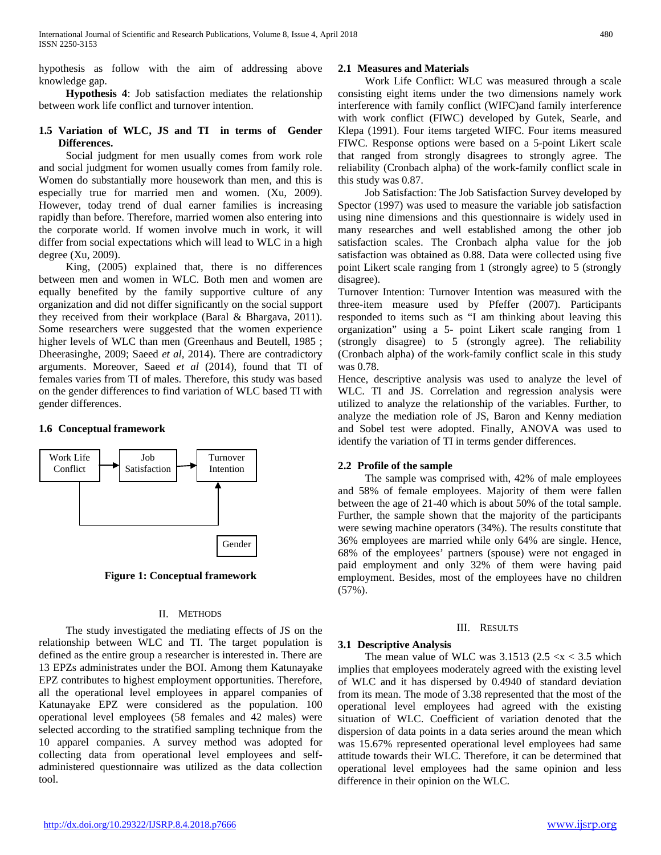hypothesis as follow with the aim of addressing above knowledge gap.

 **Hypothesis 4**: Job satisfaction mediates the relationship between work life conflict and turnover intention.

## **1.5 Variation of WLC, JS and TI in terms of Gender Differences.**

 Social judgment for men usually comes from work role and social judgment for women usually comes from family role. Women do substantially more housework than men, and this is especially true for married men and women. (Xu, 2009). However, today trend of dual earner families is increasing rapidly than before. Therefore, married women also entering into the corporate world. If women involve much in work, it will differ from social expectations which will lead to WLC in a high degree (Xu, 2009).

 King, (2005) explained that, there is no differences between men and women in WLC. Both men and women are equally benefited by the family supportive culture of any organization and did not differ significantly on the social support they received from their workplace (Baral & Bhargava, 2011). Some researchers were suggested that the women experience higher levels of WLC than men (Greenhaus and Beutell, 1985; Dheerasinghe, 2009; Saeed *et al,* 2014). There are contradictory arguments. Moreover, Saeed *et al* (2014), found that TI of females varies from TI of males. Therefore, this study was based on the gender differences to find variation of WLC based TI with gender differences.

## **1.6 Conceptual framework**



**Figure 1: Conceptual framework**

## II. METHODS

 The study investigated the mediating effects of JS on the relationship between WLC and TI. The target population is defined as the entire group a researcher is interested in. There are 13 EPZs administrates under the BOI. Among them Katunayake EPZ contributes to highest employment opportunities. Therefore, all the operational level employees in apparel companies of Katunayake EPZ were considered as the population. 100 operational level employees (58 females and 42 males) were selected according to the stratified sampling technique from the 10 apparel companies. A survey method was adopted for collecting data from operational level employees and selfadministered questionnaire was utilized as the data collection tool.

## **2.1 Measures and Materials**

 Work Life Conflict: WLC was measured through a scale consisting eight items under the two dimensions namely work interference with family conflict (WIFC)and family interference with work conflict (FIWC) developed by Gutek, Searle, and Klepa (1991). Four items targeted WIFC. Four items measured FIWC. Response options were based on a 5-point Likert scale that ranged from strongly disagrees to strongly agree. The reliability (Cronbach alpha) of the work-family conflict scale in this study was 0.87.

 Job Satisfaction: The Job Satisfaction Survey developed by Spector (1997) was used to measure the variable job satisfaction using nine dimensions and this questionnaire is widely used in many researches and well established among the other job satisfaction scales. The Cronbach alpha value for the job satisfaction was obtained as 0.88. Data were collected using five point Likert scale ranging from 1 (strongly agree) to 5 (strongly disagree).

Turnover Intention: Turnover Intention was measured with the three-item measure used by Pfeffer (2007). Participants responded to items such as "I am thinking about leaving this organization" using a 5- point Likert scale ranging from 1 (strongly disagree) to  $5$  (strongly agree). The reliability (Cronbach alpha) of the work-family conflict scale in this study was 0.78.

Hence, descriptive analysis was used to analyze the level of WLC. TI and JS. Correlation and regression analysis were utilized to analyze the relationship of the variables. Further, to analyze the mediation role of JS, Baron and Kenny mediation and Sobel test were adopted. Finally, ANOVA was used to identify the variation of TI in terms gender differences.

## **2.2 Profile of the sample**

 The sample was comprised with, 42% of male employees and 58% of female employees. Majority of them were fallen between the age of 21-40 which is about 50% of the total sample. Further, the sample shown that the majority of the participants were sewing machine operators (34%). The results constitute that 36% employees are married while only 64% are single. Hence, 68% of the employees' partners (spouse) were not engaged in paid employment and only 32% of them were having paid employment. Besides, most of the employees have no children (57%).

## III. RESULTS

## **3.1 Descriptive Analysis**

The mean value of WLC was  $3.1513$  ( $2.5 < x < 3.5$  which implies that employees moderately agreed with the existing level of WLC and it has dispersed by 0.4940 of standard deviation from its mean. The mode of 3.38 represented that the most of the operational level employees had agreed with the existing situation of WLC. Coefficient of variation denoted that the dispersion of data points in a data series around the mean which was 15.67% represented operational level employees had same attitude towards their WLC. Therefore, it can be determined that operational level employees had the same opinion and less difference in their opinion on the WLC.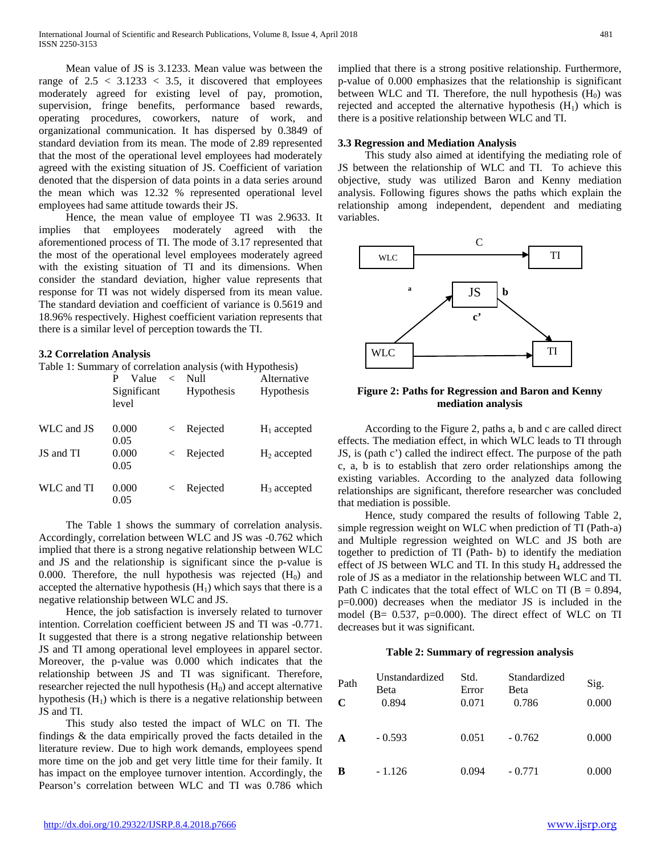Mean value of JS is 3.1233. Mean value was between the range of  $2.5 < 3.1233 < 3.5$ , it discovered that employees moderately agreed for existing level of pay, promotion, supervision, fringe benefits, performance based rewards, operating procedures, coworkers, nature of work, and organizational communication. It has dispersed by 0.3849 of standard deviation from its mean. The mode of 2.89 represented that the most of the operational level employees had moderately agreed with the existing situation of JS. Coefficient of variation denoted that the dispersion of data points in a data series around the mean which was 12.32 % represented operational level employees had same attitude towards their JS.

 Hence, the mean value of employee TI was 2.9633. It implies that employees moderately agreed with the aforementioned process of TI. The mode of 3.17 represented that the most of the operational level employees moderately agreed with the existing situation of TI and its dimensions. When consider the standard deviation, higher value represents that response for TI was not widely dispersed from its mean value. The standard deviation and coefficient of variance is 0.5619 and 18.96% respectively. Highest coefficient variation represents that there is a similar level of perception towards the TI.

## **3.2 Correlation Analysis**

Table 1: Summary of correlation analysis (with Hypothesis)

|            | Value                |       | raolo 1. Bullillary of correlation and yold (with 11 yelliche)<br>$\langle$ Null | Alternative    |
|------------|----------------------|-------|----------------------------------------------------------------------------------|----------------|
|            | Significant<br>level |       | <b>Hypothesis</b>                                                                | Hypothesis     |
| WLC and JS | 0.000<br>0.05        |       | $\langle$ Rejected                                                               | $H_1$ accepted |
| JS and TI  | 0.000<br>0.05        | $\lt$ | Rejected                                                                         | $H_2$ accepted |
| WLC and TI | 0.000<br>0.05        |       | $\langle$ Rejected                                                               | $H_3$ accepted |

 The Table 1 shows the summary of correlation analysis. Accordingly, correlation between WLC and JS was -0.762 which implied that there is a strong negative relationship between WLC and JS and the relationship is significant since the p-value is 0.000. Therefore, the null hypothesis was rejected  $(H_0)$  and accepted the alternative hypothesis  $(H<sub>1</sub>)$  which says that there is a negative relationship between WLC and JS.

 Hence, the job satisfaction is inversely related to turnover intention. Correlation coefficient between JS and TI was -0.771. It suggested that there is a strong negative relationship between JS and TI among operational level employees in apparel sector. Moreover, the p-value was 0.000 which indicates that the relationship between JS and TI was significant. Therefore, researcher rejected the null hypothesis  $(H_0)$  and accept alternative hypothesis  $(H_1)$  which is there is a negative relationship between JS and TI.

 This study also tested the impact of WLC on TI. The findings & the data empirically proved the facts detailed in the literature review. Due to high work demands, employees spend more time on the job and get very little time for their family. It has impact on the employee turnover intention. Accordingly, the Pearson's correlation between WLC and TI was 0.786 which implied that there is a strong positive relationship. Furthermore, p-value of 0.000 emphasizes that the relationship is significant between WLC and TI. Therefore, the null hypothesis  $(H_0)$  was rejected and accepted the alternative hypothesis  $(H_1)$  which is there is a positive relationship between WLC and TI.

#### **3.3 Regression and Mediation Analysis**

 This study also aimed at identifying the mediating role of JS between the relationship of WLC and TI. To achieve this objective, study was utilized Baron and Kenny mediation analysis. Following figures shows the paths which explain the relationship among independent, dependent and mediating variables.



**Figure 2: Paths for Regression and Baron and Kenny mediation analysis**

 According to the Figure 2, paths a, b and c are called direct effects. The mediation effect, in which WLC leads to TI through JS, is (path c') called the indirect effect. The purpose of the path c, a, b is to establish that zero order relationships among the existing variables. According to the analyzed data following relationships are significant, therefore researcher was concluded that mediation is possible.

 Hence, study compared the results of following Table 2, simple regression weight on WLC when prediction of TI (Path-a) and Multiple regression weighted on WLC and JS both are together to prediction of TI (Path- b) to identify the mediation effect of JS between WLC and TI. In this study  $H_4$  addressed the role of JS as a mediator in the relationship between WLC and TI. Path C indicates that the total effect of WLC on TI ( $B = 0.894$ , p=0.000) decreases when the mediator JS is included in the model (B= 0.537, p=0.000). The direct effect of WLC on TI decreases but it was significant.

#### **Table 2: Summary of regression analysis**

| Path<br>C   | Unstandardized<br>Beta<br>0.894 | Std.<br>Error<br>0.071 | Standardized<br>Beta<br>0.786 | Sig.<br>0.000 |
|-------------|---------------------------------|------------------------|-------------------------------|---------------|
| $\mathbf A$ | $-0.593$                        | 0.051                  | $-0.762$                      | 0.000         |
| B           | $-1.126$                        | 0.094                  | $-0.771$                      | 0.000         |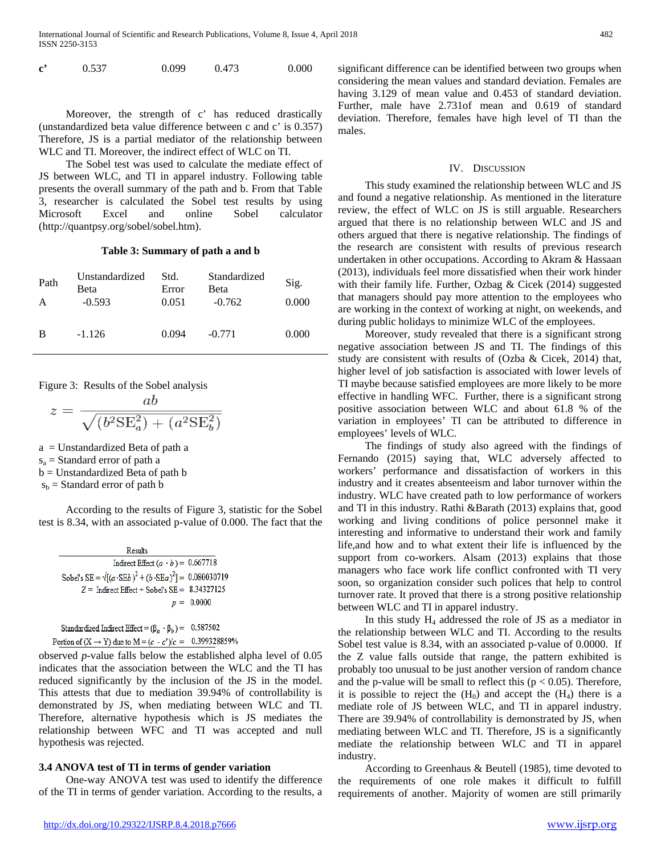| $\mathbf{c}^{\prime}$ | 0.537 | 0.099 | 0.473 | 0.000 |
|-----------------------|-------|-------|-------|-------|
|                       |       |       |       |       |

 Moreover, the strength of c' has reduced drastically (unstandardized beta value difference between c and c' is 0.357) Therefore, JS is a partial mediator of the relationship between WLC and TI. Moreover, the indirect effect of WLC on TI.

 The Sobel test was used to calculate the mediate effect of JS between WLC, and TI in apparel industry. Following table presents the overall summary of the path and b. From that Table 3, researcher is calculated the Sobel test results by using Microsoft Excel and online Sobel calculator (http://quantpsy.org/sobel/sobel.htm).

#### **Table 3: Summary of path a and b**

| Path<br>А | Unstandardized<br>Beta<br>$-0.593$ | Std.<br>Error<br>0.051 | Standardized<br><b>Beta</b><br>$-0.762$ | Sig.<br>0.000 |
|-----------|------------------------------------|------------------------|-----------------------------------------|---------------|
| B         | $-1.126$                           | 0.094                  | $-0.771$                                | 0.000         |

Figure 3: Results of the Sobel analysis

$$
z = \frac{ab}{\sqrt{(b^2 \text{SE}_a^2) + (a^2 \text{SE}_b^2)}}
$$

a = Unstandardized Beta of path a

 $s_a$  = Standard error of path a

b = Unstandardized Beta of path b

 $s<sub>b</sub>$  = Standard error of path b

 According to the results of Figure 3, statistic for the Sobel test is 8.34, with an associated p-value of 0.000. The fact that the

| <b>Results</b>                                                                      |
|-------------------------------------------------------------------------------------|
| Indirect Effect $(a \cdot b) = 0.667718$                                            |
| Sobel's SE = $\sqrt{(a \cdot \text{SE}b)^2 + (b \cdot \text{SE}a)^2} = 0.080030719$ |
| $Z =$ Indirect Effect $\div$ Sobel's SE = 8.34327125                                |
| $p = 0.0000$                                                                        |

Standardized Indirect Effect =  $(\beta_a \cdot \beta_b)$  = 0.587502 Portion of  $(X \to Y)$  due to  $M = (c - c')/c = 0.399328859%$ 

observed *p*-value falls below the established alpha level of 0.05 indicates that the association between the WLC and the TI has reduced significantly by the inclusion of the JS in the model. This attests that due to mediation 39.94% of controllability is demonstrated by JS, when mediating between WLC and TI. Therefore, alternative hypothesis which is JS mediates the relationship between WFC and TI was accepted and null hypothesis was rejected.

## **3.4 ANOVA test of TI in terms of gender variation**

 One-way ANOVA test was used to identify the difference of the TI in terms of gender variation. According to the results, a significant difference can be identified between two groups when considering the mean values and standard deviation. Females are having 3.129 of mean value and 0.453 of standard deviation. Further, male have 2.731of mean and 0.619 of standard deviation. Therefore, females have high level of TI than the males.

#### IV. DISCUSSION

 This study examined the relationship between WLC and JS and found a negative relationship. As mentioned in the literature review, the effect of WLC on JS is still arguable. Researchers argued that there is no relationship between WLC and JS and others argued that there is negative relationship. The findings of the research are consistent with results of previous research undertaken in other occupations. According to Akram & Hassaan (2013), individuals feel more dissatisfied when their work hinder with their family life. Further, Ozbag & Cicek (2014) suggested that managers should pay more attention to the employees who are working in the context of working at night, on weekends, and during public holidays to minimize WLC of the employees.

 Moreover, study revealed that there is a significant strong negative association between JS and TI. The findings of this study are consistent with results of (Ozba & Cicek, 2014) that, higher level of job satisfaction is associated with lower levels of TI maybe because satisfied employees are more likely to be more effective in handling WFC. Further, there is a significant strong positive association between WLC and about 61.8 % of the variation in employees' TI can be attributed to difference in employees' levels of WLC.

 The findings of study also agreed with the findings of Fernando (2015) saying that, WLC adversely affected to workers' performance and dissatisfaction of workers in this industry and it creates absenteeism and labor turnover within the industry. WLC have created path to low performance of workers and TI in this industry. Rathi &Barath (2013) explains that, good working and living conditions of police personnel make it interesting and informative to understand their work and family life,and how and to what extent their life is influenced by the support from co-workers. Alsam (2013) explains that those managers who face work life conflict confronted with TI very soon, so organization consider such polices that help to control turnover rate. It proved that there is a strong positive relationship between WLC and TI in apparel industry.

In this study  $H_4$  addressed the role of JS as a mediator in the relationship between WLC and TI. According to the results Sobel test value is 8.34, with an associated p-value of 0.0000. If the Z value falls outside that range, the pattern exhibited is probably too unusual to be just another version of random chance and the p-value will be small to reflect this ( $p < 0.05$ ). Therefore, it is possible to reject the  $(H_0)$  and accept the  $(H_4)$  there is a mediate role of JS between WLC, and TI in apparel industry. There are 39.94% of controllability is demonstrated by JS, when mediating between WLC and TI. Therefore, JS is a significantly mediate the relationship between WLC and TI in apparel industry.

 According to Greenhaus & Beutell (1985), time devoted to the requirements of one role makes it difficult to fulfill requirements of another. Majority of women are still primarily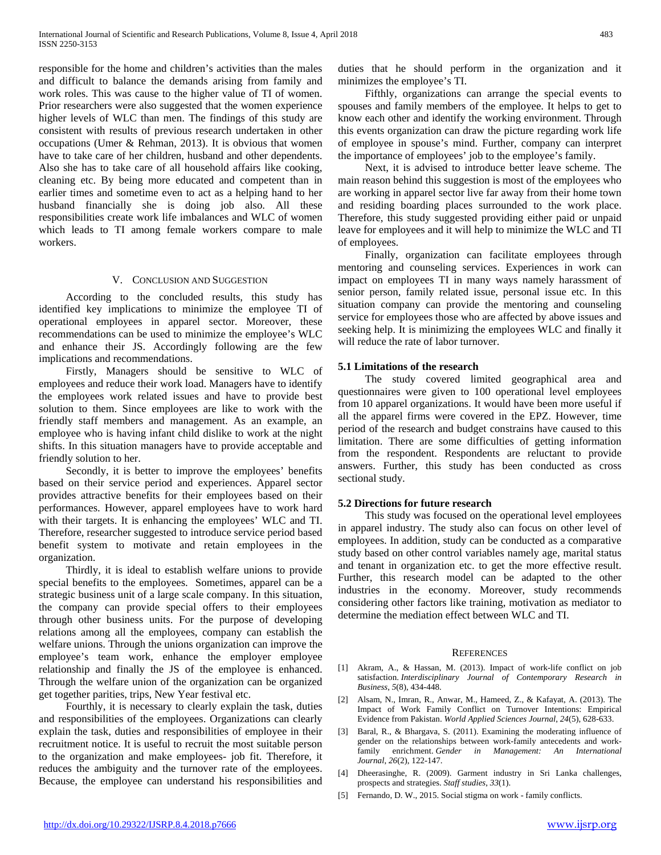responsible for the home and children's activities than the males and difficult to balance the demands arising from family and work roles. This was cause to the higher value of TI of women. Prior researchers were also suggested that the women experience higher levels of WLC than men. The findings of this study are consistent with results of previous research undertaken in other occupations (Umer & Rehman, 2013). It is obvious that women have to take care of her children, husband and other dependents. Also she has to take care of all household affairs like cooking, cleaning etc. By being more educated and competent than in earlier times and sometime even to act as a helping hand to her husband financially she is doing job also. All these responsibilities create work life imbalances and WLC of women which leads to TI among female workers compare to male workers.

## V. CONCLUSION AND SUGGESTION

 According to the concluded results, this study has identified key implications to minimize the employee TI of operational employees in apparel sector. Moreover, these recommendations can be used to minimize the employee's WLC and enhance their JS. Accordingly following are the few implications and recommendations.

 Firstly, Managers should be sensitive to WLC of employees and reduce their work load. Managers have to identify the employees work related issues and have to provide best solution to them. Since employees are like to work with the friendly staff members and management. As an example, an employee who is having infant child dislike to work at the night shifts. In this situation managers have to provide acceptable and friendly solution to her.

 Secondly, it is better to improve the employees' benefits based on their service period and experiences. Apparel sector provides attractive benefits for their employees based on their performances. However, apparel employees have to work hard with their targets. It is enhancing the employees' WLC and TI. Therefore, researcher suggested to introduce service period based benefit system to motivate and retain employees in the organization.

 Thirdly, it is ideal to establish welfare unions to provide special benefits to the employees. Sometimes, apparel can be a strategic business unit of a large scale company. In this situation, the company can provide special offers to their employees through other business units. For the purpose of developing relations among all the employees, company can establish the welfare unions. Through the unions organization can improve the employee's team work, enhance the employer employee relationship and finally the JS of the employee is enhanced. Through the welfare union of the organization can be organized get together parities, trips, New Year festival etc.

 Fourthly, it is necessary to clearly explain the task, duties and responsibilities of the employees. Organizations can clearly explain the task, duties and responsibilities of employee in their recruitment notice. It is useful to recruit the most suitable person to the organization and make employees- job fit. Therefore, it reduces the ambiguity and the turnover rate of the employees. Because, the employee can understand his responsibilities and duties that he should perform in the organization and it minimizes the employee's TI.

 Fifthly, organizations can arrange the special events to spouses and family members of the employee. It helps to get to know each other and identify the working environment. Through this events organization can draw the picture regarding work life of employee in spouse's mind. Further, company can interpret the importance of employees' job to the employee's family.

 Next, it is advised to introduce better leave scheme. The main reason behind this suggestion is most of the employees who are working in apparel sector live far away from their home town and residing boarding places surrounded to the work place. Therefore, this study suggested providing either paid or unpaid leave for employees and it will help to minimize the WLC and TI of employees.

 Finally, organization can facilitate employees through mentoring and counseling services. Experiences in work can impact on employees TI in many ways namely harassment of senior person, family related issue, personal issue etc. In this situation company can provide the mentoring and counseling service for employees those who are affected by above issues and seeking help. It is minimizing the employees WLC and finally it will reduce the rate of labor turnover.

#### **5.1 Limitations of the research**

 The study covered limited geographical area and questionnaires were given to 100 operational level employees from 10 apparel organizations. It would have been more useful if all the apparel firms were covered in the EPZ. However, time period of the research and budget constrains have caused to this limitation. There are some difficulties of getting information from the respondent. Respondents are reluctant to provide answers. Further, this study has been conducted as cross sectional study.

#### **5.2 Directions for future research**

 This study was focused on the operational level employees in apparel industry. The study also can focus on other level of employees. In addition, study can be conducted as a comparative study based on other control variables namely age, marital status and tenant in organization etc. to get the more effective result. Further, this research model can be adapted to the other industries in the economy. Moreover, study recommends considering other factors like training, motivation as mediator to determine the mediation effect between WLC and TI.

#### **REFERENCES**

- [1] Akram, A., & Hassan, M. (2013). Impact of work-life conflict on job satisfaction. *Interdisciplinary Journal of Contemporary Research in Business*, *5*(8), 434-448.
- [2] Alsam, N., Imran, R., Anwar, M., Hameed, Z., & Kafayat, A. (2013). The Impact of Work Family Conflict on Turnover Intentions: Empirical Evidence from Pakistan. *World Applied Sciences Journal*, *24*(5), 628-633.
- [3] Baral, R., & Bhargava, S. (2011). Examining the moderating influence of gender on the relationships between work-family antecedents and workfamily enrichment. *Gender in Management: An International Journal*, *26*(2), 122-147.
- [4] Dheerasinghe, R. (2009). Garment industry in Sri Lanka challenges, prospects and strategies. *Staff studies*, *33*(1).
- [5] Fernando, D. W., 2015. Social stigma on work family conflicts.